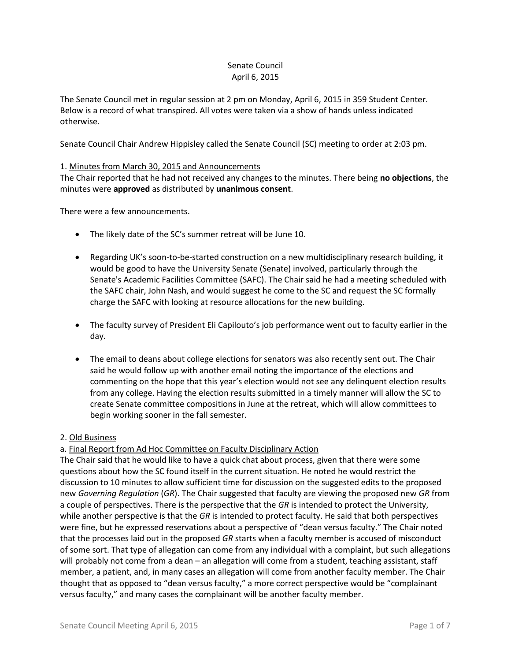# Senate Council April 6, 2015

The Senate Council met in regular session at 2 pm on Monday, April 6, 2015 in 359 Student Center. Below is a record of what transpired. All votes were taken via a show of hands unless indicated otherwise.

Senate Council Chair Andrew Hippisley called the Senate Council (SC) meeting to order at 2:03 pm.

# 1. Minutes from March 30, 2015 and Announcements

The Chair reported that he had not received any changes to the minutes. There being **no objections**, the minutes were **approved** as distributed by **unanimous consent**.

There were a few announcements.

- The likely date of the SC's summer retreat will be June 10.
- Regarding UK's soon-to-be-started construction on a new multidisciplinary research building, it would be good to have the University Senate (Senate) involved, particularly through the Senate's Academic Facilities Committee (SAFC). The Chair said he had a meeting scheduled with the SAFC chair, John Nash, and would suggest he come to the SC and request the SC formally charge the SAFC with looking at resource allocations for the new building.
- The faculty survey of President Eli Capilouto's job performance went out to faculty earlier in the day.
- The email to deans about college elections for senators was also recently sent out. The Chair said he would follow up with another email noting the importance of the elections and commenting on the hope that this year's election would not see any delinquent election results from any college. Having the election results submitted in a timely manner will allow the SC to create Senate committee compositions in June at the retreat, which will allow committees to begin working sooner in the fall semester.

### 2. Old Business

# a. Final Report from Ad Hoc Committee on Faculty Disciplinary Action

The Chair said that he would like to have a quick chat about process, given that there were some questions about how the SC found itself in the current situation. He noted he would restrict the discussion to 10 minutes to allow sufficient time for discussion on the suggested edits to the proposed new *Governing Regulation* (*GR*). The Chair suggested that faculty are viewing the proposed new *GR* from a couple of perspectives. There is the perspective that the *GR* is intended to protect the University, while another perspective is that the *GR* is intended to protect faculty. He said that both perspectives were fine, but he expressed reservations about a perspective of "dean versus faculty." The Chair noted that the processes laid out in the proposed *GR* starts when a faculty member is accused of misconduct of some sort. That type of allegation can come from any individual with a complaint, but such allegations will probably not come from a dean – an allegation will come from a student, teaching assistant, staff member, a patient, and, in many cases an allegation will come from another faculty member. The Chair thought that as opposed to "dean versus faculty," a more correct perspective would be "complainant versus faculty," and many cases the complainant will be another faculty member.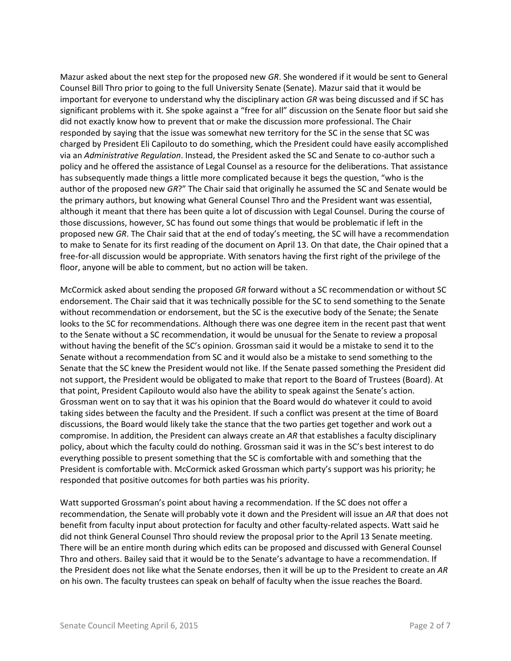Mazur asked about the next step for the proposed new *GR*. She wondered if it would be sent to General Counsel Bill Thro prior to going to the full University Senate (Senate). Mazur said that it would be important for everyone to understand why the disciplinary action *GR* was being discussed and if SC has significant problems with it. She spoke against a "free for all" discussion on the Senate floor but said she did not exactly know how to prevent that or make the discussion more professional. The Chair responded by saying that the issue was somewhat new territory for the SC in the sense that SC was charged by President Eli Capilouto to do something, which the President could have easily accomplished via an *Administrative Regulation*. Instead, the President asked the SC and Senate to co-author such a policy and he offered the assistance of Legal Counsel as a resource for the deliberations. That assistance has subsequently made things a little more complicated because it begs the question, "who is the author of the proposed new *GR*?" The Chair said that originally he assumed the SC and Senate would be the primary authors, but knowing what General Counsel Thro and the President want was essential, although it meant that there has been quite a lot of discussion with Legal Counsel. During the course of those discussions, however, SC has found out some things that would be problematic if left in the proposed new *GR*. The Chair said that at the end of today's meeting, the SC will have a recommendation to make to Senate for its first reading of the document on April 13. On that date, the Chair opined that a free-for-all discussion would be appropriate. With senators having the first right of the privilege of the floor, anyone will be able to comment, but no action will be taken.

McCormick asked about sending the proposed *GR* forward without a SC recommendation or without SC endorsement. The Chair said that it was technically possible for the SC to send something to the Senate without recommendation or endorsement, but the SC is the executive body of the Senate; the Senate looks to the SC for recommendations. Although there was one degree item in the recent past that went to the Senate without a SC recommendation, it would be unusual for the Senate to review a proposal without having the benefit of the SC's opinion. Grossman said it would be a mistake to send it to the Senate without a recommendation from SC and it would also be a mistake to send something to the Senate that the SC knew the President would not like. If the Senate passed something the President did not support, the President would be obligated to make that report to the Board of Trustees (Board). At that point, President Capilouto would also have the ability to speak against the Senate's action. Grossman went on to say that it was his opinion that the Board would do whatever it could to avoid taking sides between the faculty and the President. If such a conflict was present at the time of Board discussions, the Board would likely take the stance that the two parties get together and work out a compromise. In addition, the President can always create an *AR* that establishes a faculty disciplinary policy, about which the faculty could do nothing. Grossman said it was in the SC's best interest to do everything possible to present something that the SC is comfortable with and something that the President is comfortable with. McCormick asked Grossman which party's support was his priority; he responded that positive outcomes for both parties was his priority.

Watt supported Grossman's point about having a recommendation. If the SC does not offer a recommendation, the Senate will probably vote it down and the President will issue an *AR* that does not benefit from faculty input about protection for faculty and other faculty-related aspects. Watt said he did not think General Counsel Thro should review the proposal prior to the April 13 Senate meeting. There will be an entire month during which edits can be proposed and discussed with General Counsel Thro and others. Bailey said that it would be to the Senate's advantage to have a recommendation. If the President does not like what the Senate endorses, then it will be up to the President to create an *AR* on his own. The faculty trustees can speak on behalf of faculty when the issue reaches the Board.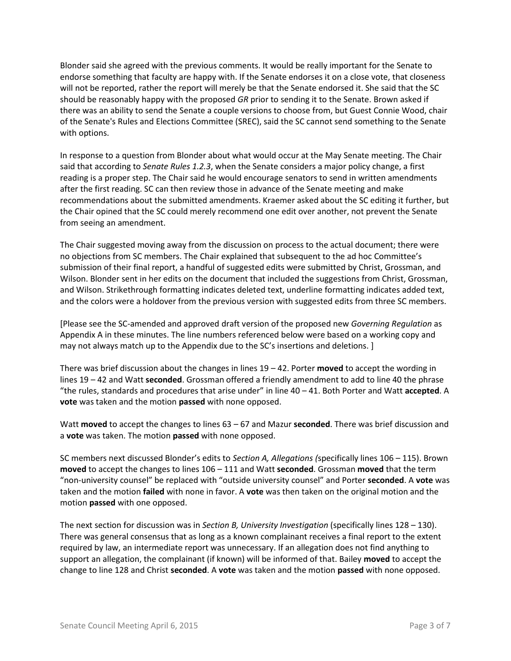Blonder said she agreed with the previous comments. It would be really important for the Senate to endorse something that faculty are happy with. If the Senate endorses it on a close vote, that closeness will not be reported, rather the report will merely be that the Senate endorsed it. She said that the SC should be reasonably happy with the proposed *GR* prior to sending it to the Senate. Brown asked if there was an ability to send the Senate a couple versions to choose from, but Guest Connie Wood, chair of the Senate's Rules and Elections Committee (SREC), said the SC cannot send something to the Senate with options.

In response to a question from Blonder about what would occur at the May Senate meeting. The Chair said that according to *Senate Rules 1.2.3*, when the Senate considers a major policy change, a first reading is a proper step. The Chair said he would encourage senators to send in written amendments after the first reading. SC can then review those in advance of the Senate meeting and make recommendations about the submitted amendments. Kraemer asked about the SC editing it further, but the Chair opined that the SC could merely recommend one edit over another, not prevent the Senate from seeing an amendment.

The Chair suggested moving away from the discussion on process to the actual document; there were no objections from SC members. The Chair explained that subsequent to the ad hoc Committee's submission of their final report, a handful of suggested edits were submitted by Christ, Grossman, and Wilson. Blonder sent in her edits on the document that included the suggestions from Christ, Grossman, and Wilson. Strikethrough formatting indicates deleted text, underline formatting indicates added text, and the colors were a holdover from the previous version with suggested edits from three SC members.

[Please see the SC-amended and approved draft version of the proposed new *Governing Regulation* as Appendix A in these minutes. The line numbers referenced below were based on a working copy and may not always match up to the Appendix due to the SC's insertions and deletions. ]

There was brief discussion about the changes in lines 19 – 42. Porter **moved** to accept the wording in lines 19 – 42 and Watt **seconded**. Grossman offered a friendly amendment to add to line 40 the phrase "the rules, standards and procedures that arise under" in line 40 – 41. Both Porter and Watt **accepted**. A **vote** was taken and the motion **passed** with none opposed.

Watt **moved** to accept the changes to lines 63 – 67 and Mazur **seconded**. There was brief discussion and a **vote** was taken. The motion **passed** with none opposed.

SC members next discussed Blonder's edits to *Section A, Allegations (*specifically lines 106 – 115). Brown **moved** to accept the changes to lines 106 – 111 and Watt **seconded**. Grossman **moved** that the term "non-university counsel" be replaced with "outside university counsel" and Porter **seconded**. A **vote** was taken and the motion **failed** with none in favor. A **vote** was then taken on the original motion and the motion **passed** with one opposed.

The next section for discussion was in *Section B, University Investigation* (specifically lines 128 – 130). There was general consensus that as long as a known complainant receives a final report to the extent required by law, an intermediate report was unnecessary. If an allegation does not find anything to support an allegation, the complainant (if known) will be informed of that. Bailey **moved** to accept the change to line 128 and Christ **seconded**. A **vote** was taken and the motion **passed** with none opposed.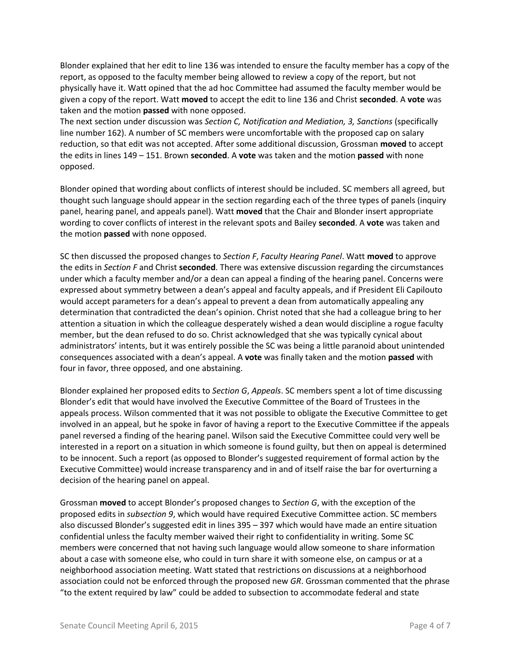Blonder explained that her edit to line 136 was intended to ensure the faculty member has a copy of the report, as opposed to the faculty member being allowed to review a copy of the report, but not physically have it. Watt opined that the ad hoc Committee had assumed the faculty member would be given a copy of the report. Watt **moved** to accept the edit to line 136 and Christ **seconded**. A **vote** was taken and the motion **passed** with none opposed.

The next section under discussion was *Section C, Notification and Mediation, 3, Sanctions* (specifically line number 162). A number of SC members were uncomfortable with the proposed cap on salary reduction, so that edit was not accepted. After some additional discussion, Grossman **moved** to accept the edits in lines 149 – 151. Brown **seconded**. A **vote** was taken and the motion **passed** with none opposed.

Blonder opined that wording about conflicts of interest should be included. SC members all agreed, but thought such language should appear in the section regarding each of the three types of panels (inquiry panel, hearing panel, and appeals panel). Watt **moved** that the Chair and Blonder insert appropriate wording to cover conflicts of interest in the relevant spots and Bailey **seconded**. A **vote** was taken and the motion **passed** with none opposed.

SC then discussed the proposed changes to *Section F*, *Faculty Hearing Panel*. Watt **moved** to approve the edits in *Section F* and Christ **seconded**. There was extensive discussion regarding the circumstances under which a faculty member and/or a dean can appeal a finding of the hearing panel. Concerns were expressed about symmetry between a dean's appeal and faculty appeals, and if President Eli Capilouto would accept parameters for a dean's appeal to prevent a dean from automatically appealing any determination that contradicted the dean's opinion. Christ noted that she had a colleague bring to her attention a situation in which the colleague desperately wished a dean would discipline a rogue faculty member, but the dean refused to do so. Christ acknowledged that she was typically cynical about administrators' intents, but it was entirely possible the SC was being a little paranoid about unintended consequences associated with a dean's appeal. A **vote** was finally taken and the motion **passed** with four in favor, three opposed, and one abstaining.

Blonder explained her proposed edits to *Section G*, *Appeals*. SC members spent a lot of time discussing Blonder's edit that would have involved the Executive Committee of the Board of Trustees in the appeals process. Wilson commented that it was not possible to obligate the Executive Committee to get involved in an appeal, but he spoke in favor of having a report to the Executive Committee if the appeals panel reversed a finding of the hearing panel. Wilson said the Executive Committee could very well be interested in a report on a situation in which someone is found guilty, but then on appeal is determined to be innocent. Such a report (as opposed to Blonder's suggested requirement of formal action by the Executive Committee) would increase transparency and in and of itself raise the bar for overturning a decision of the hearing panel on appeal.

Grossman **moved** to accept Blonder's proposed changes to *Section G*, with the exception of the proposed edits in *subsection 9*, which would have required Executive Committee action. SC members also discussed Blonder's suggested edit in lines 395 – 397 which would have made an entire situation confidential unless the faculty member waived their right to confidentiality in writing. Some SC members were concerned that not having such language would allow someone to share information about a case with someone else, who could in turn share it with someone else, on campus or at a neighborhood association meeting. Watt stated that restrictions on discussions at a neighborhood association could not be enforced through the proposed new *GR*. Grossman commented that the phrase "to the extent required by law" could be added to subsection to accommodate federal and state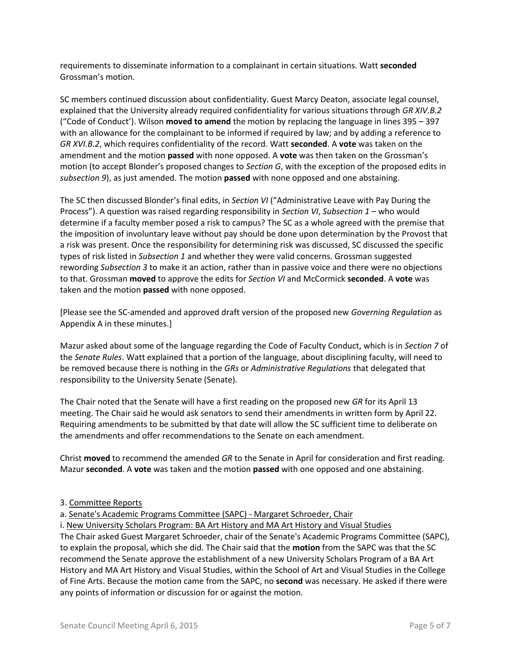requirements to disseminate information to a complainant in certain situations. Watt **seconded** Grossman's motion.

SC members continued discussion about confidentiality. Guest Marcy Deaton, associate legal counsel, explained that the University already required confidentiality for various situations through *GR XIV.B.2*  ("Code of Conduct'). Wilson **moved to amend** the motion by replacing the language in lines 395 – 397 with an allowance for the complainant to be informed if required by law; and by adding a reference to *GR XVI.B.2*, which requires confidentiality of the record. Watt **seconded**. A **vote** was taken on the amendment and the motion **passed** with none opposed. A **vote** was then taken on the Grossman's motion (to accept Blonder's proposed changes to *Section G*, with the exception of the proposed edits in *subsection 9*), as just amended. The motion **passed** with none opposed and one abstaining.

The SC then discussed Blonder's final edits, in *Section VI* ("Administrative Leave with Pay During the Process"). A question was raised regarding responsibility in *Section VI*, *Subsection 1* – who would determine if a faculty member posed a risk to campus? The SC as a whole agreed with the premise that the imposition of involuntary leave without pay should be done upon determination by the Provost that a risk was present. Once the responsibility for determining risk was discussed, SC discussed the specific types of risk listed in *Subsection 1* and whether they were valid concerns. Grossman suggested rewording *Subsection 3* to make it an action, rather than in passive voice and there were no objections to that. Grossman **moved** to approve the edits for *Section VI* and McCormick **seconded**. A **vote** was taken and the motion **passed** with none opposed.

[Please see the SC-amended and approved draft version of the proposed new *Governing Regulation* as Appendix A in these minutes.]

Mazur asked about some of the language regarding the Code of Faculty Conduct, which is in *Section 7* of the *Senate Rules*. Watt explained that a portion of the language, about disciplining faculty, will need to be removed because there is nothing in the *GRs* or *Administrative Regulations* that delegated that responsibility to the University Senate (Senate).

The Chair noted that the Senate will have a first reading on the proposed new *GR* for its April 13 meeting. The Chair said he would ask senators to send their amendments in written form by April 22. Requiring amendments to be submitted by that date will allow the SC sufficient time to deliberate on the amendments and offer recommendations to the Senate on each amendment.

Christ **moved** to recommend the amended *GR* to the Senate in April for consideration and first reading. Mazur **seconded**. A **vote** was taken and the motion **passed** with one opposed and one abstaining.

# 3. Committee Reports

a. Senate's Academic Programs Committee (SAPC) - Margaret Schroeder, Chair

i. New University Scholars Program: BA Art History and MA Art History and Visual Studies

The Chair asked Guest Margaret Schroeder, chair of the Senate's Academic Programs Committee (SAPC), to explain the proposal, which she did. The Chair said that the **motion** from the SAPC was that the SC recommend the Senate approve the establishment of a new University Scholars Program of a BA Art History and MA Art History and Visual Studies, within the School of Art and Visual Studies in the College of Fine Arts. Because the motion came from the SAPC, no **second** was necessary. He asked if there were any points of information or discussion for or against the motion.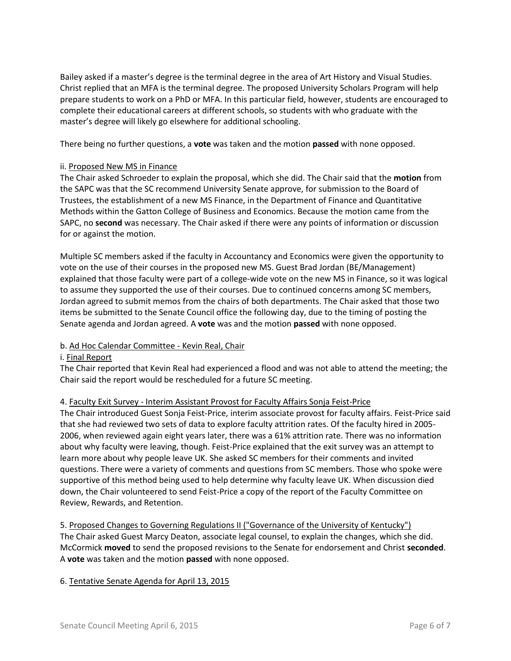Bailey asked if a master's degree is the terminal degree in the area of Art History and Visual Studies. Christ replied that an MFA is the terminal degree. The proposed University Scholars Program will help prepare students to work on a PhD or MFA. In this particular field, however, students are encouraged to complete their educational careers at different schools, so students with who graduate with the master's degree will likely go elsewhere for additional schooling.

There being no further questions, a **vote** was taken and the motion **passed** with none opposed.

# ii. Proposed New MS in Finance

The Chair asked Schroeder to explain the proposal, which she did. The Chair said that the **motion** from the SAPC was that the SC recommend University Senate approve, for submission to the Board of Trustees, the establishment of a new MS Finance, in the Department of Finance and Quantitative Methods within the Gatton College of Business and Economics. Because the motion came from the SAPC, no **second** was necessary. The Chair asked if there were any points of information or discussion for or against the motion.

Multiple SC members asked if the faculty in Accountancy and Economics were given the opportunity to vote on the use of their courses in the proposed new MS. Guest Brad Jordan (BE/Management) explained that those faculty were part of a college-wide vote on the new MS in Finance, so it was logical to assume they supported the use of their courses. Due to continued concerns among SC members, Jordan agreed to submit memos from the chairs of both departments. The Chair asked that those two items be submitted to the Senate Council office the following day, due to the timing of posting the Senate agenda and Jordan agreed. A **vote** was and the motion **passed** with none opposed.

# b. Ad Hoc Calendar Committee - Kevin Real, Chair

# i. Final Report

The Chair reported that Kevin Real had experienced a flood and was not able to attend the meeting; the Chair said the report would be rescheduled for a future SC meeting.

# 4. Faculty Exit Survey - Interim Assistant Provost for Faculty Affairs Sonja Feist-Price

The Chair introduced Guest Sonja Feist-Price, interim associate provost for faculty affairs. Feist-Price said that she had reviewed two sets of data to explore faculty attrition rates. Of the faculty hired in 2005- 2006, when reviewed again eight years later, there was a 61% attrition rate. There was no information about why faculty were leaving, though. Feist-Price explained that the exit survey was an attempt to learn more about why people leave UK. She asked SC members for their comments and invited questions. There were a variety of comments and questions from SC members. Those who spoke were supportive of this method being used to help determine why faculty leave UK. When discussion died down, the Chair volunteered to send Feist-Price a copy of the report of the Faculty Committee on Review, Rewards, and Retention.

5. Proposed Changes to Governing Regulations II ("Governance of the University of Kentucky") The Chair asked Guest Marcy Deaton, associate legal counsel, to explain the changes, which she did. McCormick **moved** to send the proposed revisions to the Senate for endorsement and Christ **seconded**. A **vote** was taken and the motion **passed** with none opposed.

# 6. Tentative Senate Agenda for April 13, 2015